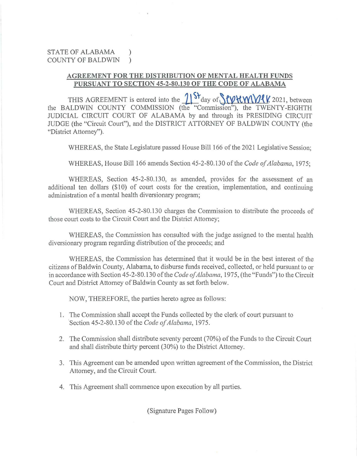## STATE OF ALABAMA ) COUNTY OF BALDWIN )

## **AGREEMENT FOR THE DISTRIBUTION OF MENTAL HEAL TH FUNDS PURSUANT TO SECTION 45-2-80.130 OF THE CODE OF ALABAMA**

THIS AGREEMENT is entered into the  $\frac{1}{5}$  day of  $\frac{1}{\sqrt{2}}$  ( $\frac{1}{\sqrt{2}}$  ) between the BALDWIN COUNTY COMMISSION (the "Commission"), the TWENTY-EIGHTH JUDICIAL CIRCUIT COURT OF ALABAMA by and through its PRESIDING CIRCUIT JUDGE (the "Circuit Court"), and the DISTRICT ATTORNEY OF BALDWIN COUNTY (the "District Attorney").

WHEREAS, the State Legislature passed House Bill 166 of the 2021 Legislative Session;

WHEREAS, House Bill 166 amends Section 45-2-80.130 of the *Code of Alabama,* 1975;

WHEREAS, Section 45-2-80.130, as amended, provides for the assessment of an additional ten dollars  $(\$10)$  of court costs for the creation, implementation, and continuing administration of a mental health diversionary program;

WHEREAS, Section 45-2-80.130 charges the Commission to distribute the proceeds of those court costs to the Circuit Court and the District Attorney;

WHEREAS, the Commission has consulted with the judge assigned to the mental health diversionary program regarding distribution of the proceeds; and

WHEREAS, the Commission has detennined that it would be in the best interest of the citizens of Baldwin County, Alabama, to disburse funds received, collected, or held pursuant to or in accordance with Section 45-2-80.130 of the *Code of Alabama,* 1975, (the "Funds") to the Circuit Court and District Attorney of Baldwin County as set forth below.

NOW, THEREFORE, the parties hereto agree as follows:

- l. The Commission shall accept the Funds collected by the clerk of court pursuant to Section 45-2-80.1 30 of the *Code of Alabama,* 1975.
- 2. The Commission shall distribute seventy percent (70%) of the Funds to the Circuit Court and shall distribute thirty percent (30%) to the District Attorney.
- 3. This Agreement can be amended upon written agreement of the Commission, the District Attorney, and the Circuit Court.
- 4. This Agreement shall commence upon execution by all patties.

(Signature Pages Follow)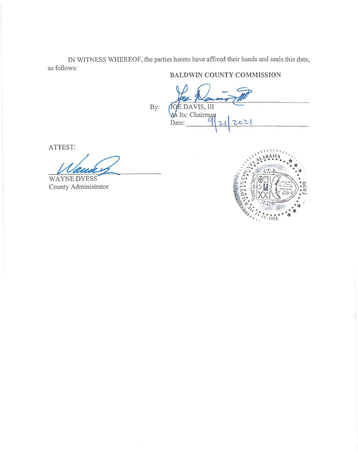IN WITNESS WHEREOF, the parties hereto have affixed their hands and seals this date, as follows:

Date:

## **BALDWIN COUNTY COMMISSION**

JOE DAVIS, III<br>As Its: Chairman

By:

ATTEST:

WAYNE DYESS County Administrator

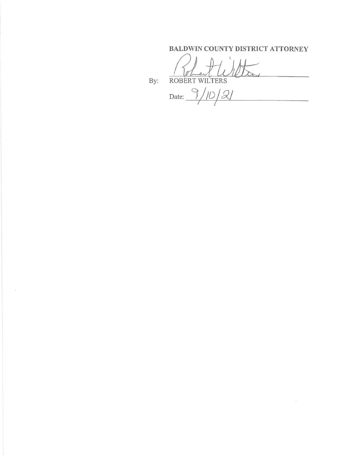## BALDWIN COUNTY DISTRICT ATTORNEY

By: ROBERT WILTERS

Date:  $\frac{9}{10}$ 

 $\mathcal{A}$  .